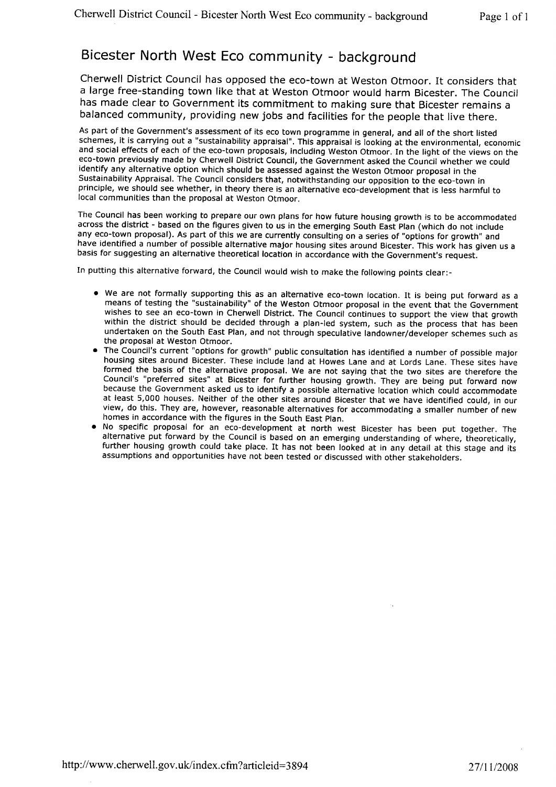# Bicester North West Eco community - background

Cherwell District Council has opposed the eco-town at Weston Otmoor. It considers that a large free-standing town like that at Weston Otmoor would harm Bicester. The Council has made clear to Government its commitment to making sure that Bicester remains a balanced community, providing new jobs and facilities for the people that live there.

As part of the Government's assessment of its eco town programme in general, and all of the short listed schemes, it is carrying out a "sustainability appraisal". This appraisal is looking at the environmental, economic and social effects of each of the eco-town proposals, including Weston Otmoor. In the light of the views on the eco-town previously made by Cherwell District Council, the Government asked the Council whether we could identify any alternative option which should be assessed against the Weston Otmoor proposal in the Sustainability Appraisal. The Council considers that, notwithstanding our opposition to the eco-town in principle, we should see whether, in theory there is an alternative eco-development that is less harmful to local communities than the proposal at Weston Otmoor.

The Council has been working to prepare our own plans for how future housing growth is to be accommodated across the district - based on the figures given to us in the emerging South East Plan (which do not include any eco-town proposal). As part of this we are currently consulting on a series of "options for growth" and have identified a number of possible alternative major housing sites around Bicester. This work has given us a basis for suggesting an alternative theoretical location in accordance with the Government's request.

In putting this alternative forward, the Council would wish to make the following points clear:-

- We are not formally supporting this as an alternative eco-town location. It is being put forward as a means of testing the "sustainability" of the Weston Otmoor proposal in the event that the Government wishes to see an eco-town in Cherwell District. The Council continues to support the view that growth within the district should be decided through a plan-led system, such as the process that has been undertaken on the South East Plan, and not through speculative landowner/developer schemes such as the proposal at Weston Otmoor.
- The Council's current "options for growth" public consultation has identified a number of possible major housing sites around Bicester. These include land at Howes Lane and at Lords Lane. These sites have formed the basis of the alternative proposal. We are not saying that the two sites are therefore the Council's "preferred sites" at Bicester for further housing growth. They are being put forward now because the Government asked us to identify a possible alternative location which could accommodate at least 5,000 houses. Neither of the other sites around Bicester that we have identified could, in our view, do this. They are, however, reasonable alternatives for accommodating a smaller number of new homes in accordance with the figures in the South East plan.
- e No specific proposal for an eco-development at north west Bicester has been put together, The alternative put forward by the Council is based on an emerging understanding of where, theoretically, further housing growth could take place. It has not been looked at in any detail at this stage and its assumptions and opportunities have not been tested or discussed with other stakeholders.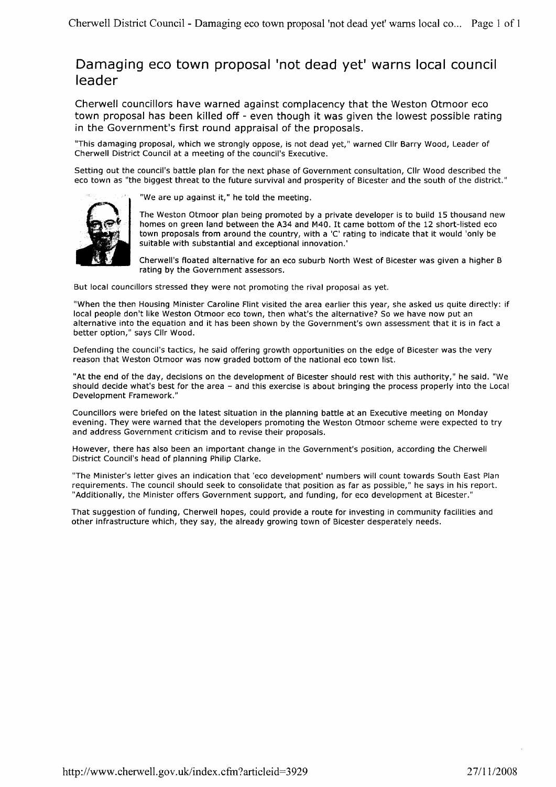## Damaging eco town proposal 'not dead yet' warns local council leader

Cherwell councillors have warned against complacency that the Weston Otmoor eco town proposal has been killed off - even though it was given the lowest possible rating in the Government's first round appraisal of the proposals.

"This damaging proposal, which we strongly oppose, is not dead yet," warned Cllr Barry Wood, Leader of Cherwell District Council at a meeting of the council's Executive.

Setting out the council's battle plan for the next phase of Government consultation, Cllr Wood described the eco town as "the biggest threat to the future survival and prosperity of Bicester and the south of the district."



"We are up against it," he told the meeting.

The Weston Otmoor plan being promoted by a private developer is to build 15 thousand new homes on green land between the A34 and M40. It came bottom of the 12 short-listed eco town proposals from around the country, with a 'C' rating to indicate that it would 'only be suitable with substantial and exceptional innovation.'

Cherwell's floated alternative for an eco suburb North West of Bicester was given a higher B rating by the Government assessors,

But local councillors stressed they were not promoting the rival proposal as yet.

"When the then Housing Minister Caroline Flint visited the area earlier this year, she asked us quite directly: if local people don't like Weston Otmoor eco town, then what's the alternative? So we have now put an alternative into the equation and it has been shown by the Government's own assessment that it is in fact a better option," says Cllr Wood.

Defending the council's tactics, he said offering growth opportunities on the edge of Bicester was the very reason that Weston Otmoor was now graded bottom of the national eco town list,

"At the end of the day, decisions on the development of Bicester should rest with this authority," he said. "We should decide what's best for the area - and this exercise is about bringing the process properly into the Local Development Framework. "

Councillors were briefed on the latest situation in the planning battle at an Executive meeting on Monday evening. They were warned that the developers promoting the Weston Otmoor scheme were expected to try and address Government criticism and to revise their proposals.

However, there has also been an important change in the Government's position, according the Cherwell District Council's head of planning Philip Clarke.

"The Minister's letter gives an indication that'eco development'numbers will count towards South East Plan requirements. The council should seek to consolidate that position as far as possible," he says in his report.<br>"Additionally, the Minister offers Government support, and funding, for eco development at Bicester."

That suggestion of funding, Cherwell hopes, could provide a route for investing in community facilities and other infrastructure which, they say, the already growing town of Bicester desperately needs.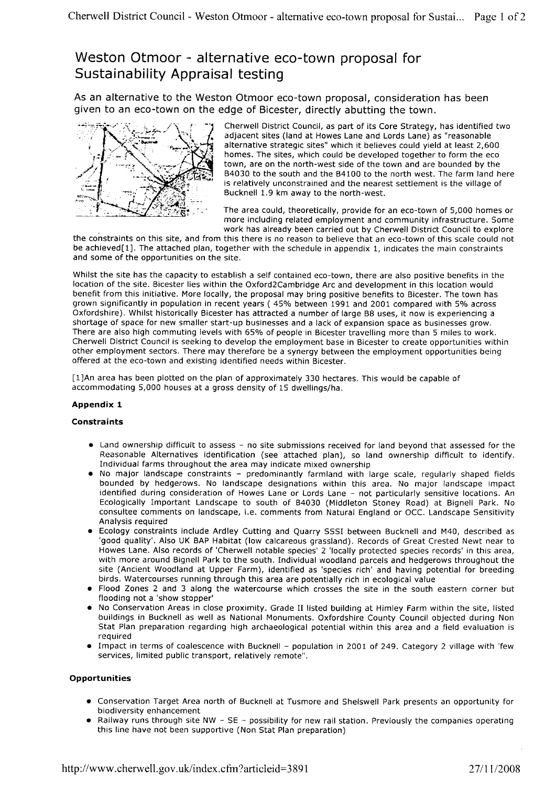# Weston Otmoor - alternative eco-town proposal for Sustainability Appraisal testing

As an alternative to the Weston Otmoor eco-town proposal, consideration has been given to an eco-town on the edge of Bicester, directly abutting the town.



Cherwell District Council, as part of its Core Strategy, has identified two adjacent sites (land at Howes Lane and Lords Lane) as "reasonable alternative strategic sites" which it believes could yield at least 2,600 homes. The sites, which could be developed together to form the eco town, are on the north-west side of the town and are bounded by the 84030 to the south and the 84100 to the north west. The farm land here is relatively unconstrained and the nearest settlement is the village of Bucknell 1.9 km away to the north-west.

The area could, theoretically, provide for an eco-town of 5,000 homes or more including related employment and community infrastructure. Some work has already been carried out by Cherwell District Council to explore

the constraints on this site, and from this there is no reason to believe that an eco-town of this scale could not be achieved[1]. The attached plan, together with the schedule in appendix 1, indicates the main constraints and some of the opportunities on the site.

Whilst the site has the capacity to establish a self contained eco-town, there are also positive benefits in the location of the site. Bicester lies within the Oxford2Cambridge Arc and development in this location would benefit from this initiative. More locally, the proposal may bring positive benefits to Bicester. The town has grown significantly in population in recent years (45% between 1991 and 2001 compared with 5% across Oxfordshire). Whilst historically Bicester has attracted a number of large 88 uses, it now is experiencing a shortage of space for new smaller start-up businesses and a lack of expansion space as businesses grow. There are also high commuting levels with 65% of people in Bicester travelling more than 5 miles to work. Cherwell District Council is seeking to develop the employment base in Bicester to create opportunities within other employment sectors. There may therefore be a synergy between the employment opportunities being offered at the eco-town and existing identified needs within Bicester.

[1]An area has been plotted on the plan of approximately 330 hectares. This would be capable of accommodating 5,000 houses at a gross density of l5 dwellings/ha.

## Appendix 1

#### **Constraints**

- Land ownership difficult to assess no site submissions received for land beyond that assessed for the Reasonable Alternatives identification (see attached plan), so land ownership difficult to identify. Individual farms throughout the area may indicate mixed ownership
- No major landscape constraints predominantly farmland with large scale, regularly shaped fields bounded by hedgerows. No landscape designations within this area, No major landscape impact identified during consideration of Howes Lane or Lords Lane - not particularly sensitive locations. An Ecologically Important Landscape to south of 84030 (Middleton Stoney Road) at Bignell Park. No consultee comments on landscape, i.e. comments from Natural England or OCC. Landscape Sensitivity Analysis required
- Ecology constraints include Ardley Cutting and Quarry SSSI between Bucknell and M40, described as 'good quality'. Also UK BAP Habitat (low calcareous grassland). Records of Great Crested Newt near to Howes Lane. Also records of 'Cherwell notable species' 2 'locally protected species records' in this area, with more around Bignell Park to the south. Individual woodland parcels and hedgerows throughout the site (Ancient Woodland at Upper Farm), identified as 'species rich' and having potential for breeding birds. Watercourses running through this area are potentially rich in ecological value
- Flood Zones 2 and 3 along the watercourse which crosses the site in the south eastern corner but flooding not a 'show stopper'
- No Conservation Areas in close proximity. Grade II listed building at Himley Farm within the site, listed buildings in Bucknell as well as National Monuments. Oxfordshire County Council objected during Non Stat Plan preparation regarding high archaeological potential within this area and a field evaluation is required
- Impact in terms of coalescence with Bucknell population in 2001 of 249. Category 2 village with 'few services, limited public transport, relatively remote".

## **Opportunities**

- Conservation Target Area north of Bucknell at Tusmore and Shelswell Park presents an opportunity for biodiversity enhancement
- Railway runs through site NW SE possibility for new rail station. Previously the companies operating this line have not been supportive (Non Stat Plan preparation)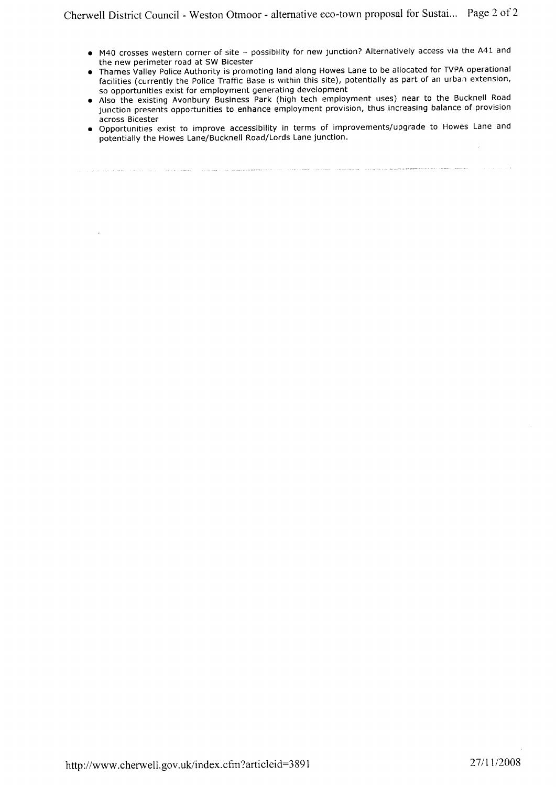- o M40 crosses western corner of site possibility for new junction? Alternatively access via the 441 and the new perimeter road at SW Bicester
- Thames Valley Police Authority is promoting land along Howes Lane to be allocated for TVPA operational facilities (currently the Police Traffic Base is within this site), potentially as part of an urban extension, so opportunities exist for employment generating development
- Also the existing Avonbury Business Park (high tech employment uses) near to the Bucknell Road junction presents opportunities to enhance employment provision, thus increasing balance of provision across Bicester
- Opportunities exist to improve accessibility in terms of improvements/upgrade to Howes Lane and potentially the Howes Lane/Bucknell Road/Lords Lane junction.

http://www.cherwell.gov.uk/index.cfm?articleid=3891 27/11/2008

ر<br>محصول المدينة المدينة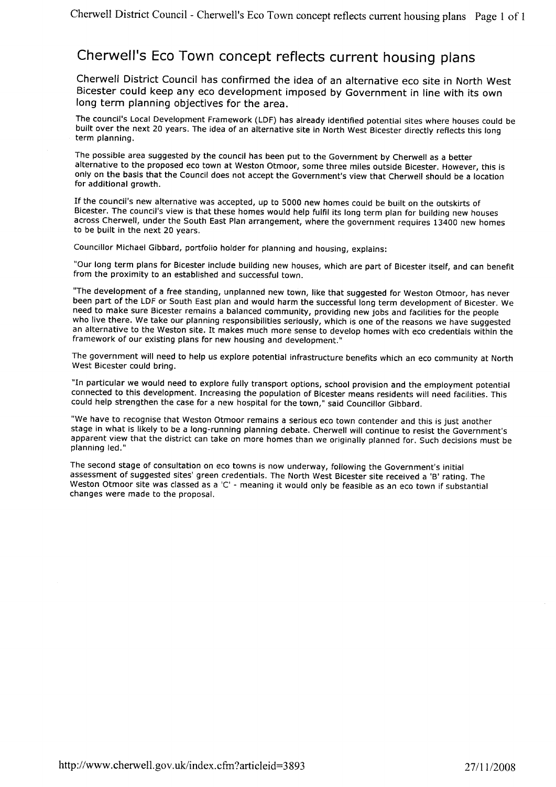# cherwell's Eco Town concept reflects current housing plans

Cherwell District Council has confirmed the idea of an alternative eco site in North West Bicester could keep any eco development imposed by Government in line with its own long term planning objectives for the area.

The council's Local Development Framework (LDF) has already identified potential sites where houses could be built over the next 20 years. The idea of an alternative site in North West Bicester directly reflects this long term planning.

The possible area suggested by the council has been put to the Government by Cherwell as a better alternative to the proposed eco town at Weston Otmoor, some three miles outside Bicester. However, this is only on the basis that the Council does not accept the Government's view that Cherwell should be a location for additional growth.

If the council's new alternative was accepted, up to 5000 new homes could be built on the outskirts of Bicester. The council's view is that these homes would help fulfil its long term plan for building new houses across Cherwell, under the South East Plan arrangement, where the government requires 13400 new homes to be puilt in the next 20 years,

councillor Michael Gibbard, portfolio holder for planning and housing, explains:

"Our long term plans for Bicester include building new houses, which are part of Bicester itself, and can benefit from the proximity to an established and successful town.

"The development of a free standing, unplanned new town, like that suggested for Weston Otmoor, has never been part of the LDF or South East plan and would harm the successful long term development of Bicester. We need to make sure Bicester remains a balanced community, providing new jobs and facilities for the people who live there. We take our planning responsibilities seriously, which is one of the reasons we have suggested an alternative to the Weston site. It makes much more sense to develop homes with eco credentials within the framework of our existing plans for new housing and development."

The government will need to help us explore potential infrastructure benefits which an eco community at North West Bicester could bring.

"In particular we would need to explore fully transport options, school provision and the employment potential connected to this development. Increasing the population of Bicester means residents will need facilities. This could help strengthen the case for a new hospital for the town," said Councillor Gibbard.

"We have to recognise that Weston Otmoor remains a serious eco town contender and this is just another stage in what is likely to be a long-running planning debate. Cherwell will continue to resist the Government's apparent view that the district can take on more homes than we originally planned for. Such decisions must be planning led."

The second stage of consultation on eco towns is now underway, following the Government's initial assessment of suggested sites' green credentials. The North West Bicester site received a 'B' rating, The Weston Otmoor site was classed as a 'C' - meaning it would only be feasible as an eco town if substantial changes were made to the proposal.